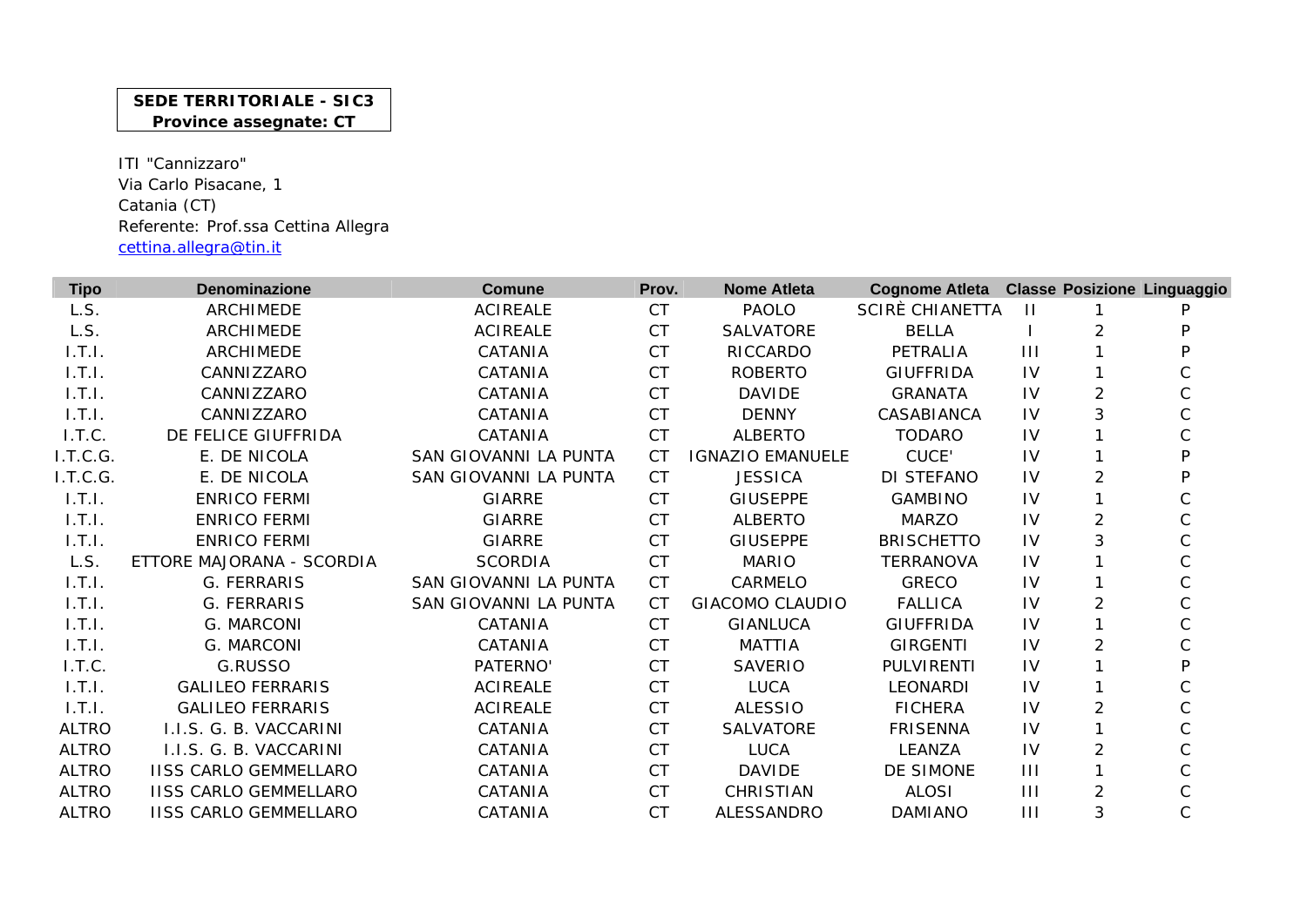## **SEDE TERRITORIALE - SIC3 Province assegnate: CT**

ITI "Cannizzaro" Via Carlo Pisacane, 1 Catania (CT) Referente: Prof.ssa Cettina Allegra cettina.allegra@tin.it

| <b>Tipo</b>  | <b>Denominazione</b>         | Comune                | Prov.     | <b>Nome Atleta</b>      | Cognome Atleta Classe Posizione Linguaggio |                |                |              |
|--------------|------------------------------|-----------------------|-----------|-------------------------|--------------------------------------------|----------------|----------------|--------------|
| L.S.         | <b>ARCHIMEDE</b>             | <b>ACIREALE</b>       | <b>CT</b> | <b>PAOLO</b>            | SCIRE CHIANETTA                            | $\mathbf{H}$   |                |              |
| L.S.         | ARCHIMEDE                    | <b>ACIREALE</b>       | <b>CT</b> | <b>SALVATORE</b>        | <b>BELLA</b>                               |                |                | P            |
| 1.T.I.       | <b>ARCHIMEDE</b>             | CATANIA               | <b>CT</b> | RICCARDO                | PETRALIA                                   | $\mathbf{III}$ |                | P            |
| 1.T.1.       | CANNIZZARO                   | CATANIA               | <b>CT</b> | <b>ROBERTO</b>          | <b>GIUFFRIDA</b>                           | IV             |                |              |
| 1.T.1.       | CANNIZZARO                   | CATANIA               | <b>CT</b> | <b>DAVIDE</b>           | <b>GRANATA</b>                             | IV             | $\overline{2}$ | $\mathsf{C}$ |
| 1.T.1.       | CANNIZZARO                   | CATANIA               | <b>CT</b> | <b>DENNY</b>            | CASABIANCA                                 | IV             | 3              |              |
| I.T.C.       | DE FELICE GIUFFRIDA          | CATANIA               | <b>CT</b> | <b>ALBERTO</b>          | <b>TODARO</b>                              | IV             |                |              |
| I.T.C.G.     | E. DE NICOLA                 | SAN GIOVANNI LA PUNTA | <b>CT</b> | <b>IGNAZIO EMANUELE</b> | CUCE'                                      | IV             |                | P            |
| I.T.C.G.     | E. DE NICOLA                 | SAN GIOVANNI LA PUNTA | <b>CT</b> | <b>JESSICA</b>          | DI STEFANO                                 | IV             | $\overline{2}$ | P            |
| 1.T.1.       | <b>ENRICO FERMI</b>          | <b>GIARRE</b>         | <b>CT</b> | <b>GIUSEPPE</b>         | <b>GAMBINO</b>                             | IV             |                |              |
| 1.T.1.       | <b>ENRICO FERMI</b>          | <b>GIARRE</b>         | <b>CT</b> | <b>ALBERTO</b>          | <b>MARZO</b>                               | IV             | $\overline{2}$ |              |
| 1.T.1.       | <b>ENRICO FERMI</b>          | <b>GIARRE</b>         | <b>CT</b> | <b>GIUSEPPE</b>         | <b>BRISCHETTO</b>                          | IV             | 3              | C            |
| L.S.         | ETTORE MAJORANA - SCORDIA    | <b>SCORDIA</b>        | <b>CT</b> | <b>MARIO</b>            | <b>TERRANOVA</b>                           | IV             |                | C            |
| 1.T.1.       | G. FERRARIS                  | SAN GIOVANNI LA PUNTA | <b>CT</b> | CARMELO                 | <b>GRECO</b>                               | IV             |                |              |
| 1.T.1.       | G. FERRARIS                  | SAN GIOVANNI LA PUNTA | <b>CT</b> | <b>GIACOMO CLAUDIO</b>  | <b>FALLICA</b>                             | IV             | 2              |              |
| 1.T.1.       | G. MARCONI                   | CATANIA               | <b>CT</b> | <b>GIANLUCA</b>         | <b>GIUFFRIDA</b>                           | IV             |                |              |
| 1.T.1.       | G. MARCONI                   | CATANIA               | <b>CT</b> | <b>MATTIA</b>           | <b>GIRGENTI</b>                            | IV             | 2              |              |
| I.T.C.       | G.RUSSO                      | PATERNO'              | <b>CT</b> | <b>SAVERIO</b>          | <b>PULVIRENTI</b>                          | IV             |                | P            |
| 1.T.1.       | <b>GALILEO FERRARIS</b>      | <b>ACIREALE</b>       | <b>CT</b> | <b>LUCA</b>             | <b>LEONARDI</b>                            | IV             |                |              |
| 1.T.1.       | <b>GALILEO FERRARIS</b>      | <b>ACIREALE</b>       | <b>CT</b> | <b>ALESSIO</b>          | <b>FICHERA</b>                             | IV             | 2              | C            |
| <b>ALTRO</b> | I.I.S. G. B. VACCARINI       | CATANIA               | <b>CT</b> | <b>SALVATORE</b>        | <b>FRISENNA</b>                            | IV             |                |              |
| <b>ALTRO</b> | I.I.S. G. B. VACCARINI       | CATANIA               | <b>CT</b> | <b>LUCA</b>             | LEANZA                                     | IV             | $\overline{2}$ |              |
| <b>ALTRO</b> | <b>IISS CARLO GEMMELLARO</b> | CATANIA               | <b>CT</b> | <b>DAVIDE</b>           | DE SIMONE                                  | III            |                |              |
| <b>ALTRO</b> | <b>IISS CARLO GEMMELLARO</b> | CATANIA               | <b>CT</b> | CHRISTIAN               | <b>ALOSI</b>                               | $\mathbf{III}$ | $\overline{2}$ |              |
| <b>ALTRO</b> | <b>IISS CARLO GEMMELLARO</b> | CATANIA               | <b>CT</b> | ALESSANDRO              | <b>DAMIANO</b>                             | $\mathbf{III}$ | 3              | $\mathsf C$  |